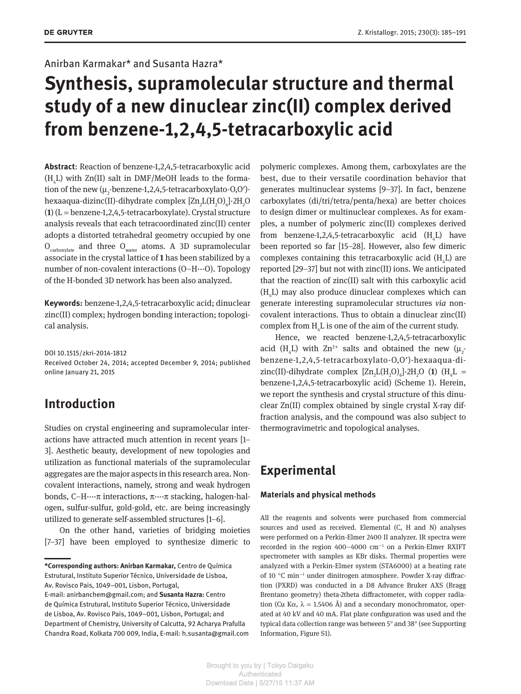### Anirban Karmakar\* and Susanta Hazra\*

# **Synthesis, supramolecular structure and thermal study of a new dinuclear zinc(II) complex derived from benzene-1,2,4,5-tetracarboxylic acid**

**Abstract**: Reaction of benzene-1,2,4,5-tetracarboxylic acid  $(H_4L)$  with Zn(II) salt in DMF/MeOH leads to the formation of the new  $(\mu_2$ -benzene-1,2,4,5-tetracarboxylato-0,0 $^{\prime}$ )hexaaqua-dizinc(II)-dihydrate complex  $\left[\text{Zn}_2\text{L(H}_2\text{O})_6\right]\cdot$ 2H<sub>2</sub>O (**1**) (L = benzene-1,2,4,5-tetracarboxylate). Crystal structure analysis reveals that each tetracoordinated zinc(II) center adopts a distorted tetrahedral geometry occupied by one  $O_{\text{carboxylate}}$  and three  $O_{\text{water}}$  atoms. A 3D supramolecular associate in the crystal lattice of **1** has been stabilized by a number of non-covalent interactions (O–H···O). Topology of the H-bonded 3D network has been also analyzed.

**Keywords:** benzene-1,2,4,5-tetracarboxylic acid; dinuclear zinc(II) complex; hydrogen bonding interaction; topological analysis.

DOI 10.1515/zkri-2014-1812 Received October 24, 2014; accepted December 9, 2014; published online January 21, 2015

## **Introduction**

Studies on crystal engineering and supramolecular interactions have attracted much attention in recent years [1– 3]. Aesthetic beauty, development of new topologies and utilization as functional materials of the supramolecular aggregates are the major aspects in this research area. Noncovalent interactions, namely, strong and weak hydrogen bonds, C–H····π interactions, π····π stacking, halogen-halogen, sulfur-sulfur, gold-gold, etc. are being increasingly utilized to generate self-assembled structures [1–6].

On the other hand, varieties of bridging moieties [7–37] have been employed to synthesize dimeric to polymeric complexes. Among them, carboxylates are the best, due to their versatile coordination behavior that generates multinuclear systems [9–37]. In fact, benzene carboxylates (di/tri/tetra/penta/hexa) are better choices to design dimer or multinuclear complexes. As for examples, a number of polymeric zinc(II) complexes derived from benzene-1,2,4,5-tetracarboxylic acid  $(H_4L)$  have been reported so far [15–28]. However, also few dimeric complexes containing this tetracarboxylic acid  $(H_4L)$  are reported [29–37] but not with zinc(II) ions. We anticipated that the reaction of zinc(II) salt with this carboxylic acid  $(H_4L)$  may also produce dinuclear complexes which can generate interesting supramolecular structures *via* noncovalent interactions. Thus to obtain a dinuclear zinc(II) complex from  $H_4L$  is one of the aim of the current study.

Hence, we reacted benzene-1,2,4,5- tetracarboxylic acid (H<sub>4</sub>L) with  $Zn^{2+}$  salts and obtained the new ( $\mu_2$ benzene-1,2,4,5-tetracarboxylato-O,O′)-hexaaqua-dizinc(II)-dihydrate complex  $[Zn_2L(H_2O)_6]$ -2H<sub>2</sub>O (1) (H<sub>4</sub>L = benzene-1,2,4,5-tetracarboxylic acid) (Scheme 1). Herein, we report the synthesis and crystal structure of this dinuclear Zn(II) complex obtained by single crystal X-ray diffraction analysis, and the compound was also subject to thermogravimetric and topological analyses.

# **Experimental**

#### **Materials and physical methods**

All the reagents and solvents were purchased from commercial sources and used as received. Elemental (C, H and N) analyses were performed on a Perkin-Elmer 2400 II analyzer. IR spectra were recorded in the region 400-4000 cm<sup>-1</sup> on a Perkin-Elmer RXIFT spectrometer with samples as KBr disks. Thermal properties were analyzed with a Perkin-Elmer system (STA6000) at a heating rate of 10 °C min−<sup>1</sup> under dinitrogen atmosphere. Powder X-ray diffraction (PXRD) was conducted in a D8 Advance Bruker AXS (Bragg Brentano geometry) theta-2theta diffractometer, with copper radiation (Cu K $\alpha$ ,  $\lambda$  = 1.5406 Å) and a secondary monochromator, operated at 40 kV and 40 mA. Flat plate configuration was used and the typical data collection range was between 5° and 38° (see Supporting Information, Figure S1).

**<sup>\*</sup>Corresponding authors: Anirban Karmakar,** Centro de Química Estrutural, Instituto Superior Técnico, Universidade de Lisboa, Av. Rovisco Pais, 1049–001, Lisbon, Portugal,

E-mail: anirbanchem@gmail.com; and **Susanta Hazra:** Centro de Química Estrutural, Instituto Superior Técnico, Universidade de Lisboa, Av. Rovisco Pais, 1049–001, Lisbon, Portugal; and Department of Chemistry, University of Calcutta, 92 Acharya Prafulla Chandra Road, Kolkata 700 009, India, E-mail: h.susanta@gmail.com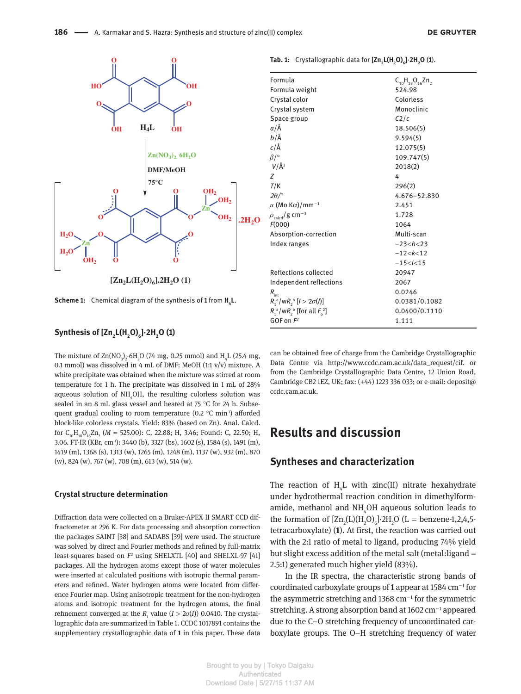



**[Zn2L(H2O)<sup>6</sup> ].2H2O (1)**

**Scheme 1:** Chemical diagram of the synthesis of **1** from **H<sup>4</sup> L**.

#### **Synthesis of [Zn<sup>2</sup> L(H2O)<sup>6</sup> ]·2H2O (1)**

The mixture of  $\text{Zn}(\text{NO}_3)$ <sub>2</sub>.6H<sub>2</sub>O (74 mg, 0.25 mmol) and H<sub>4</sub>L (25.4 mg, 0.1 mmol) was dissolved in 4 mL of DMF: MeOH (1:1 v/v) mixture. A white precipitate was obtained when the mixture was stirred at room temperature for 1 h. The precipitate was dissolved in 1 mL of 28% aqueous solution of  $NH<sub>a</sub>OH$ , the resulting colorless solution was sealed in an 8 mL glass vessel and heated at 75 °C for 24 h. Subsequent gradual cooling to room temperature (0.2 °C min<sup>1</sup>) afforded block-like colorless crystals. Yield: 83% (based on Zn). Anal. Calcd. for C<sub>10</sub>H<sub>18</sub>O<sub>16</sub>Zn<sub>2</sub> (*M* = 525.00): C, 22.88; H, 3.46; Found: C, 22.50; H, 3.06. FT-IR (KBr, cm-1): 3440 (b), 3327 (bs), 1602 (s), 1584 (s), 1491 (m), 1419 (m), 1368 (s), 1313 (w), 1265 (m), 1248 (m), 1137 (w), 932 (m), 870 (w), 824 (w), 767 (w), 708 (m), 613 (w), 514 (w).

#### **Crystal structure determination**

Diffraction data were collected on a Bruker-APEX II SMART CCD diffractometer at 296 K. For data processing and absorption correction the packages SAINT [38] and SADABS [39] were used. The structure was solved by direct and Fourier methods and refined by full-matrix least-squares based on  $F^2$  using SHELXTL [40] and SHELXL-97 [41] packages. All the hydrogen atoms except those of water molecules were inserted at calculated positions with isotropic thermal parameters and refined. Water hydrogen atoms were located from difference Fourier map. Using anisotropic treatment for the non-hydrogen atoms and isotropic treatment for the hydrogen atoms, the final refinement converged at the  $R_1$  value  $(I > 2\sigma(I))$  0.0410. The crystallographic data are summarized in Table 1. CCDC 1017891 contains the supplementary crystallographic data of **1** in this paper. These data

| Formula                                 | $C_{10}H_{18}O_{16}Zn$ , |
|-----------------------------------------|--------------------------|
| Formula weight                          | 524.98                   |
| Crystal color                           | Colorless                |
| Crystal system                          | Monoclinic               |
| Space group                             | C2/c                     |
| a/Å                                     | 18.506(5)                |
| b/Å                                     | 9.594(5)                 |
| $c/\text{\AA}$                          | 12.075(5)                |
| $\beta$ /°                              | 109.747(5)               |
| $V/\AA$ <sup>3</sup>                    | 2018(2)                  |
| 7                                       | 4                        |
| T/K                                     | 296(2)                   |
| $2\theta$ / $\circ$                     | 4.676-52.830             |
| $\mu$ (Mo K $\alpha$ )/mm <sup>-1</sup> | 2.451                    |
| $\rho_{\rm \,cal} / g \rm \ cm^{-3}$    | 1.728                    |
| F(000)                                  | 1064                     |
| Absorption-correction                   | Multi-scan               |
| Index ranges                            | $-23 < h < 23$           |
|                                         | $-12 < k < 12$           |
|                                         | $-15 < l < 15$           |
| Reflections collected                   | 20947                    |
| Independent reflections                 | 2067                     |
| $R_{\text{int}}$                        | 0.0246                   |
| $R_1^a/wR_2^b$ [ $l > 2\sigma(l)$ ]     | 0.0381/0.1082            |
| $R_1^a/wR_2^b$ [for all $F_2^2$ ]       | 0.0400/0.1110            |
| GOF on $F^2$                            | 1.111                    |

**Tab. 1:** Crystallographic data for **[Zn<sup>2</sup> L(H2O)<sup>6</sup> ]**·**2H2O** (**1**).

can be obtained free of charge from the Cambridge Crystallographic Data Centre via http://www.ccdc.cam.ac.uk/data\_request/cif. or from the Cambridge Crystallographic Data Centre, 12 Union Road, Cambridge CB2 1EZ, UK; fax: (+44) 1223 336 033; or e-mail: deposit@ ccdc.cam.ac.uk.

## **Results and discussion**

### **Syntheses and characterization**

The reaction of  $H_4L$  with zinc(II) nitrate hexahydrate under hydrothermal reaction condition in dimethylformamide, methanol and NH<sub>4</sub>OH aqueous solution leads to the formation of  $[Zn_2(L)(H_2O)_6]$ -2H<sub>2</sub>O (L = benzene-1,2,4,5tetracarboxylate) (**1**). At first, the reaction was carried out with the 2:1 ratio of metal to ligand, producing 74% yield but slight excess addition of the metal salt (metal:ligand = 2.5:1) generated much higher yield (83%).

In the IR spectra, the characteristic strong bands of coordinated carboxylate groups of **1** appear at 1584 cm−<sup>1</sup> for the asymmetric stretching and 1368 cm−<sup>1</sup> for the symmetric stretching. A strong absorption band at 1602 cm−<sup>1</sup> appeared due to the C–O stretching frequency of uncoordinated carboxylate groups. The O–H stretching frequency of water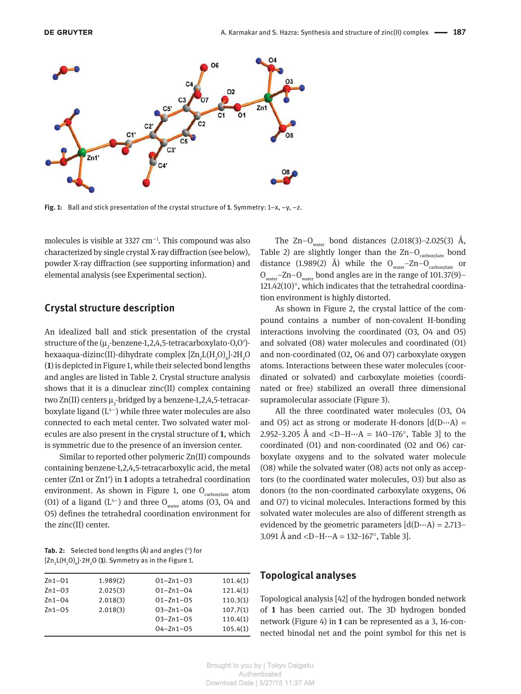

**Fig. 1:** Ball and stick presentation of the crystal structure of **1**. Symmetry: 1–x, –y, –z.

molecules is visible at 3327 cm−<sup>1</sup> . This compound was also characterized by single crystal X-ray diffraction (see below), powder X-ray diffraction (see supporting information) and elemental analysis (see Experimental section).

#### **Crystal structure description**

An idealized ball and stick presentation of the crystal structure of the ( $\mu_2$ -benzene-1,2,4,5-tetracarboxylato-0,0′)hexaaqua-dizinc(II)-dihydrate complex  $\left[\text{Zn}_2\text{L(H}_2\text{O})_6\right]\cdot$ 2H<sub>2</sub>O (**1**) is depicted in Figure 1, while their selected bond lengths and angles are listed in Table 2. Crystal structure analysis shows that it is a dinuclear zinc(II) complex containing two Zn(II) centers  $\mu_{_2}$ -bridged by a benzene-1,2,4,5-tetracarboxylate ligand (L<sup>4</sup>−) while three water molecules are also connected to each metal center. Two solvated water molecules are also present in the crystal structure of **1**, which is symmetric due to the presence of an inversion center.

Similar to reported other polymeric Zn(II) compounds containing benzene-1,2,4,5-tetracarboxylic acid, the metal center (Zn1 or Zn1′) in **1** adopts a tetrahedral coordination environment. As shown in Figure 1, one  $O_{\text{carboxylate}}$  atom (O1) of a ligand (L<sup>4−</sup>) and three O<sub>water</sub> atoms (O3, O4 and O5) defines the tetrahedral coordination environment for the zinc(II) center.

**Tab. 2:** Selected bond lengths (Å) and angles (°) for  $\left[\text{Zn}_2\text{L(H}_2\text{O})_6\right]\cdot 2\text{H}_2\text{O}$  (1). Symmetry as in the Figure 1.

| $Zn1-01$ | 1.989(2) | $01 - Zn1 - 03$ | 101.4(1) |
|----------|----------|-----------------|----------|
| $Zn1-03$ | 2.025(3) | $01 - Zn1 - 04$ | 121.4(1) |
| $Zn1-04$ | 2.018(3) | $01 - Zn1 - 05$ | 110.3(1) |
| $Zn1-05$ | 2.018(3) | $03 - Zn1 - 04$ | 107.7(1) |
|          |          | $03 - Zn1 - 05$ | 110.4(1) |
|          |          | $04 - 2n1 - 05$ | 105.4(1) |
|          |          |                 |          |

The Zn–O<sub>water</sub> bond distances  $(2.018(3)$ –2.025(3) Å, Table 2) are slightly longer than the  $Zn-O<sub>carboxplate</sub>$  bond distance (1.989(2) Å) while the  $O_{water}$ – $Zn-O_{carbonylate}$  or  $O_{water}$ –Zn– $O_{water}$  bond angles are in the range of 101.37(9)– 121.42(10)°, which indicates that the tetrahedral coordination environment is highly distorted.

As shown in Figure 2, the crystal lattice of the compound contains a number of non-covalent H-bonding interactions involving the coordinated (O3, O4 and O5) and solvated (O8) water molecules and coordinated (O1) and non-coordinated (O2, O6 and O7) carboxylate oxygen atoms. Interactions between these water molecules (coordinated or solvated) and carboxylate moieties (coordinated or free) stabilized an overall three dimensional supramolecular associate (Figure 3).

All the three coordinated water molecules (O3, O4 and O5) act as strong or moderate H-donors  $[d(D...A)]$ 2.952–3.205 Å and  $\langle D-H\cdots A = 140-176^{\circ}$ , Table 3 to the coordinated (O1) and non-coordinated (O2 and O6) carboxylate oxygens and to the solvated water molecule (O8) while the solvated water (O8) acts not only as acceptors (to the coordinated water molecules, O3) but also as donors (to the non-coordinated carboxylate oxygens, O6 and O7) to vicinal molecules. Interactions formed by this solvated water molecules are also of different strength as evidenced by the geometric parameters  $[d(D...A) = 2.713-$ 3.091 Å and < $D-H \cdots A = 132-167^{\circ}$ , Table 3].

### **Topological analyses**

Topological analysis [42] of the hydrogen bonded network of **1** has been carried out. The 3D hydrogen bonded network (Figure 4) in **1** can be represented as a 3, 16-connected binodal net and the point symbol for this net is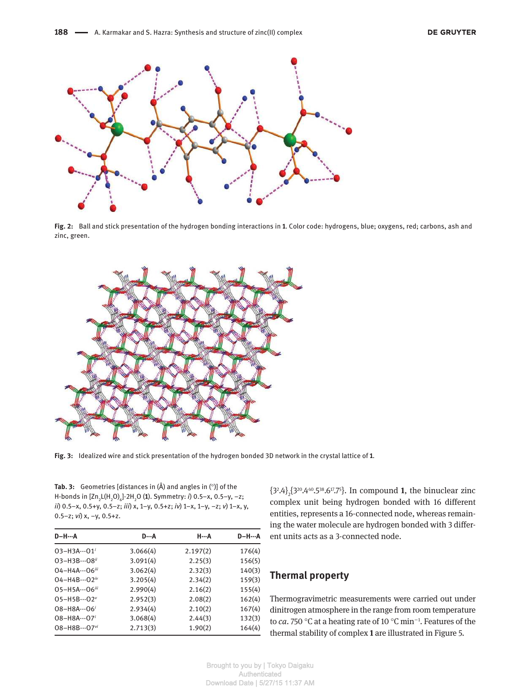

**Fig. 2:** Ball and stick presentation of the hydrogen bonding interactions in **1**. Color code: hydrogens, blue; oxygens, red; carbons, ash and zinc, green.



**Fig. 3:** Idealized wire and stick presentation of the hydrogen bonded 3D network in the crystal lattice of **1**.

**Tab. 3:** Geometries [distances in (Å) and angles in (°)] of the H-bonds in [Zn<sub>2</sub>L(H<sub>2</sub>O)<sub>6</sub>]·2H<sub>2</sub>O (1). Symmetry: *i*) 0.5–x, 0.5–y, –z; *ii*) 0.5–x, 0.5+y, 0.5–z; *iii*) x, 1–y, 0.5+z; *iv*) 1–x, 1–y, –z; *v*) 1–x, y, 0.5–z; *vi*) x, –y, 0.5+z.

| <b>D-H--A</b>               | D…A      | Н…А      | <b>D-H--A</b> |
|-----------------------------|----------|----------|---------------|
| $03 - H3A \cdots 01'$       | 3.066(4) | 2.197(2) | 176(4)        |
| 03-H3B…08 <sup>ii</sup>     | 3.091(4) | 2.25(3)  | 156(5)        |
| $04 - H4A \cdots 06$        | 3.062(4) | 2.32(3)  | 140(3)        |
| $04 - H4B \cdots 02^{i\nu}$ | 3.205(4) | 2.34(2)  | 159(3)        |
| 05-H5A…06iii                | 2.990(4) | 2.16(2)  | 155(4)        |
| $05 - H5B \cdots 02^v$      | 2.952(3) | 2.08(2)  | 162(4)        |
| $08 - H8A \cdots 06'$       | 2.934(4) | 2.10(2)  | 167(4)        |
| $08 - H8A \cdots 07$        | 3.068(4) | 2.44(3)  | 132(3)        |
| 08-H8B…07vi                 | 2.713(3) | 1.90(2)  | 164(4)        |

 $\{3^2.4\}_{2} \{3^{20}.4^{40}.5^{38}.6^{17}.7^{5}\}$  . In compound  $\bf{1},$  the binuclear zinc complex unit being hydrogen bonded with 16 different entities, represents a 16-connected node, whereas remaining the water molecule are hydrogen bonded with 3 different units acts as a 3-connected node.

### **Thermal property**

Thermogravimetric measurements were carried out under dinitrogen atmosphere in the range from room temperature to *ca*. 750 °C at a heating rate of 10 °C min−<sup>1</sup> . Features of the thermal stability of complex **1** are illustrated in Figure 5.

Brought to you by | Tokyo Daigaku Authenticated Download Date | 5/27/15 11:37 AM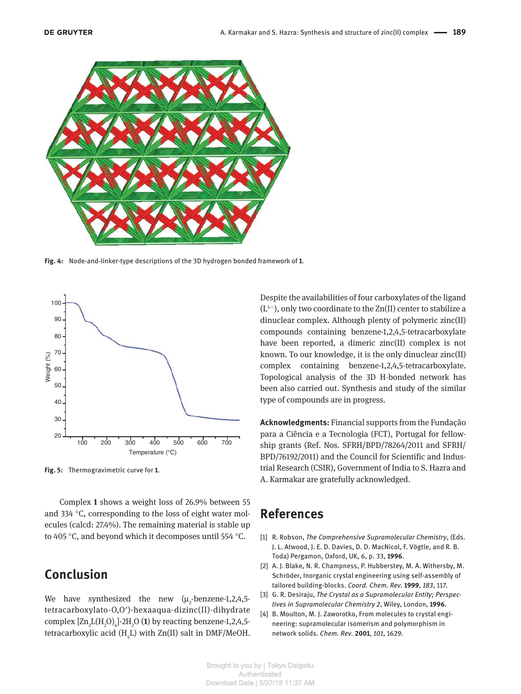

**Fig. 4:** Node-and-linker-type descriptions of the 3D hydrogen bonded framework of **1**.



**Fig. 5:** Thermogravimetric curve for **1**.

Complex **1** shows a weight loss of 26.9% between 55 and 334 °C, corresponding to the loss of eight water molecules (calcd: 27.4%). The remaining material is stable up to 405 °C, and beyond which it decomposes until 554 °C.

## **Conclusion**

We have synthesized the new  $(\mu_2$ -benzene-1,2,4,5tetracarboxylato-O,O′)-hexaaqua-dizinc(II)-dihydrate complex  $\left[\text{Zn}_{2}\text{L(H}_{2}\text{O})_{6}\right]\cdot2\text{H}_{2}\text{O}$  (1) by reacting benzene-1,2,4,5tetracarboxylic acid  $(H_4L)$  with Zn(II) salt in DMF/MeOH.

Despite the availabilities of four carboxylates of the ligand (L<sup>4</sup>−), only two coordinate to the Zn(II) center to stabilize a dinuclear complex. Although plenty of polymeric zinc(II) compounds containing benzene-1,2,4,5-tetracarboxylate have been reported, a dimeric zinc(II) complex is not known. To our knowledge, it is the only dinuclear zinc(II) complex containing benzene-1,2,4,5-tetracarboxylate. Topological analysis of the 3D H-bonded network has been also carried out. Synthesis and study of the similar type of compounds are in progress.

**Acknowledgments:** Financial supports from the Fundação para a Ciência e a Tecnologia (FCT), Portugal for fellowship grants (Ref. Nos. SFRH/BPD/78264/2011 and SFRH/ BPD/76192/2011) and the Council for Scientific and Industrial Research (CSIR), Government of India to S. Hazra and A. Karmakar are gratefully acknowledged.

## **References**

- [1] R. Robson, *The Comprehensive Supramolecular Chemistry*, (Eds. J. L. Atwood, J. E. D. Davies, D. D. MacNicol, F. Vögtle, and R. B. Toda) Pergamon, Oxford, UK, 6, p. 33, **1996**.
- [2] A. J. Blake, N. R. Champness, P. Hubberstey, M. A. Withersby, M. Schröder, Inorganic crystal engineering using self-assembly of tailored building-blocks. *Coord. Chem. Rev.* **1999**, *183*, 117.
- [3] G. R. Desiraju, *The Crystal as a Supramolecular Entity; Perspectives in Supramolecular Chemistry 2*, Wiley, London, **1996**.
- [4] B. Moulton, M. J. Zaworotko, From molecules to crystal engineering: supramolecular isomerism and polymorphism in network solids. *Chem. Rev.* **2001**, *101*, 1629.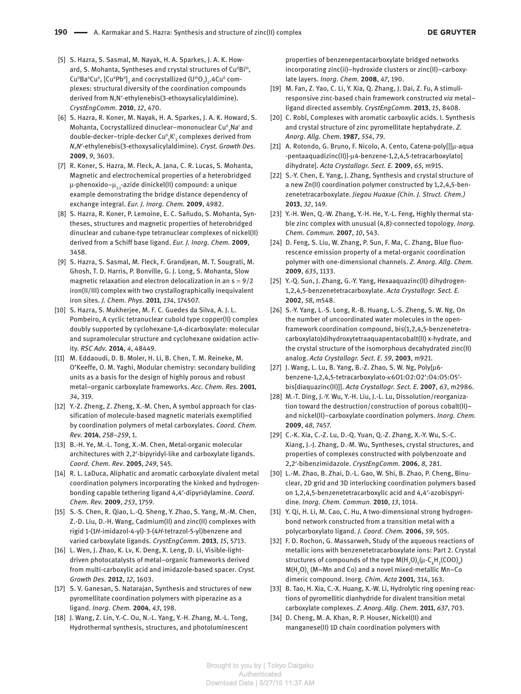- [5] S. Hazra, S. Sasmal, M. Nayak, H. A. Sparkes, J. A. K. Howard, S. Mohanta, Syntheses and crystal structures of Cu"Bi", Cu"Ba"Cu",  $\left[\mathsf{Cu}^{\shortparallel}\mathsf{Pb}^{\shortparallel}\right]_2$  and cocrystallized  $\left(\mathsf{U}^{\shortparallel}\mathsf{O}_2\right)_2$ .4Cu" complexes: structural diversity of the coordination compounds derived from N,N′-ethylenebis(3-ethoxysalicylaldimine). *CrystEngComm.* **2010**, *12*, 470.
- [6] S. Hazra, R. Koner, M. Nayak, H. A. Sparkes, J. A. K. Howard, S. Mohanta, Cocrystallized dinuclear–mononuclear Cu"<sub>3</sub>Na' and double-decker–triple-decker Cu"<sub>5</sub>K'<sub>3</sub> complexes derived from *N*,*N*′-ethylenebis(3-ethoxysalicylaldimine). *Cryst. Growth Des.* **2009**, *9*, 3603.
- [7] R. Koner, S. Hazra, M. Fleck, A. Jana, C. R. Lucas, S. Mohanta, Magnetic and electrochemical properties of a heterobridged  $\mu$ -phenoxido- $\mu$ <sub>1</sub>-azide dinickel(II) compound: a unique example demonstrating the bridge distance dependency of exchange integral. *Eur. J. Inorg. Chem.* **2009**, 4982.
- [8] S. Hazra, R. Koner, P. Lemoine, E. C. Sañudo, S. Mohanta, Syntheses, structures and magnetic properties of heterobridged dinuclear and cubane-type tetranuclear complexes of nickel(II) derived from a Schiff base ligand. *Eur. J. Inorg. Chem.* **2009**, 3458.
- [9] S. Hazra, S. Sasmal, M. Fleck, F. Grandjean, M. T. Sougrati, M. Ghosh, T. D. Harris, P. Bonville, G. J. Long, S. Mohanta, Slow magnetic relaxation and electron delocalization in an  $s = 9/2$ iron(II/III) complex with two crystallographically inequivalent iron sites. *J. Chem. Phys.* **2011**, *134*, 174507.
- [10] S. Hazra, S. Mukherjee, M. F. C. Guedes da Silva, A. J. L. Pombeiro, A cyclic tetranuclear cuboid type copper(II) complex doubly supported by cyclohexane-1,4-dicarboxylate: molecular and supramolecular structure and cyclohexane oxidation activity. *RSC Adv.* **2014**, *4*, 48449.
- [11] M. Eddaoudi, D. B. Moler, H. Li, B. Chen, T. M. Reineke, M. O'Keeffe, O. M. Yaghi, Modular chemistry: secondary building units as a basis for the design of highly porous and robust metal–organic carboxylate frameworks. *Acc. Chem. Res.* **2001**, *34*, 319.
- [12] Y.-Z. Zheng, Z. Zheng, X.-M. Chen, A symbol approach for classification of molecule-based magnetic materials exemplified by coordination polymers of metal carboxylates. *Coord. Chem. Rev.* **2014**, *258–259*, 1.
- [13] B.-H. Ye, M.-L. Tong, X.-M. Chen, Metal-organic molecular architectures with 2,2′-bipyridyl-like and carboxylate ligands. *Coord. Chem. Rev.* **2005**, *249*, 545.
- [14] R. L. LaDuca, Aliphatic and aromatic carboxylate divalent metal coordination polymers incorporating the kinked and hydrogenbonding capable tethering ligand 4,4′-dipyridylamine. *Coord. Chem. Rev.* **2009**, *253*, 1759.
- [15] S.-S. Chen, R. Qiao, L.-Q. Sheng, Y. Zhao, S. Yang, M.-M. Chen, Z.-D. Liu, D.-H. Wang, Cadmium(II) and zinc(II) complexes with rigid 1-(1*H*-imidazol-4-yl)-3-(4*H*-tetrazol-5-yl)benzene and varied carboxylate ligands. *CrystEngComm.* **2013**, *15*, 5713.
- [16] L. Wen, J. Zhao, K. Lv, K. Deng, X. Leng, D. Li, Visible-lightdriven photocatalysts of metal–organic frameworks derived from multi-carboxylic acid and imidazole-based spacer. *Cryst. Growth Des.* **2012**, *12*, 1603.
- [17] S. V. Ganesan, S. Natarajan, Synthesis and structures of new pyromellitate coordination polymers with piperazine as a ligand. *Inorg. Chem.* **2004**, *43*, 198.
- [18] J. Wang, Z. Lin, Y.-C. Ou, N.-L. Yang, Y.-H. Zhang, M.-L. Tong, Hydrothermal synthesis, structures, and photoluminescent

properties of benzenepentacarboxylate bridged networks incorporating zinc(ii)–hydroxide clusters or zinc(II)–carboxylate layers. *Inorg. Chem.* **2008**, *47*, 190.

- [19] M. Fan, Z. Yao, C. Li, Y. Xia, Q. Zhang, J. Dai, Z. Fu, A stimuliresponsive zinc-based chain framework constructed *via* metal– ligand directed assembly. *CrystEngComm.* **2013**, *15*, 8408.
- [20] C. Robl, Complexes with aromatic carboxylic acids. I. Synthesis and crystal structure of zinc pyromellitate heptahydrate. *Z. Anorg. Allg. Chem.* **1987**, *554*, 79.
- [21] A. Rotondo, G. Bruno, F. Nicolo, A. Cento, Catena-poly[[[µ-aqua -pentaaquadizinc(II)]-µ4-benzene-1,2,4,5-tetracarboxylato] dihydrate]. *Acta Crystallogr. Sect. E.* **2009**, *65*, m915.
- [22] S.-Y. Chen, E. Yang, J. Zhang, Synthesis and crystal structure of a new Zn(II) coordination polymer constructed by 1,2,4,5-benzenetetracarboxylate. *Jiegou Huaxue (Chin. J. Struct. Chem.)* **2013**, *32*, 149.
- [23] Y.-H. Wen, Q.-W. Zhang, Y.-H. He, Y.-L. Feng, Highly thermal stable zinc complex with unusual (4,8)-connected topology. *Inorg. Chem. Commun.* **2007**, *10*, 543.
- [24] D. Feng, S. Liu, W. Zhang, P. Sun, F. Ma, C. Zhang, Blue fluorescence emission property of a metal-organic coordination polymer with one-dimensional channels. *Z. Anorg. Allg. Chem.* **2009**, *635*, 1133.
- [25] Y.-Q. Sun, J. Zhang, G.-Y. Yang, Hexaaquazinc(II) dihydrogen-1,2,4,5-benzenetetracarboxylate. *Acta Crystallogr. Sect. E.* **2002**, *58*, m548.
- [26] S.-Y. Yang, L.-S. Long, R.-B. Huang, L.-S. Zheng, S. W. Ng, On the number of uncoordinated water molecules in the openframework coordination compound, bis(1,2,4,5-benzenetetracarboxylato)dihydroxytetraaquapentacobalt(II) x-hydrate, and the crystal structure of the isomorphous decahydrated zinc(II) analog. *Acta Crystallogr. Sect. E. 59*, **2003**, m921.
- [27] J. Wang, L. Lu, B. Yang, B.-Z. Zhao, S. W. Ng, Poly[µ6 benzene-1,2,4,5-tetracarboxylato-κ6O1:O2:O2′:O4:O5:O5′ bis[diaquazinc(II)]]. *Acta Crystallogr. Sect. E.* **2007**, *63*, m2986.
- [28] M.-T. Ding, J.-Y. Wu, Y.-H. Liu, J.-L. Lu, Dissolution/reorganization toward the destruction/construction of porous cobalt(II)– and nickel(II)–carboxylate coordination polymers. *Inorg. Chem.* **2009**, *48*, 7457.
- [29] C.-K. Xia, C.-Z. Lu, D.-Q. Yuan, Q.-Z. Zhang, X.-Y. Wu, S.-C. Xiang, J.-J. Zhang, D.-M. Wu, Syntheses, crystal structures, and properties of complexes constructed with polybenzoate and 2,2′-bibenzimidazole. *CrystEngComm.* **2006**, *8*, 281.
- [30] L.-M. Zhao, B. Zhai, D.-L. Gao, W. Shi, B. Zhao, P. Cheng, Binuclear, 2D grid and 3D interlocking coordination polymers based on 1,2,4,5-benzenetetracarboxylic acid and 4,4′-azobispyridine. *Inorg. Chem. Commun.* **2010**, *13*, 1014.
- [31] Y. Qi, H. Li, M. Cao, C. Hu, A two-dimensional strong hydrogenbond network constructed from a transition metal with a polycarboxylato ligand. *J. Coord. Chem.* **2006**, *59*, 505.
- [32] F. D. Rochon, G. Massarweh, Study of the aqueous reactions of metallic ions with benzenetetracarboxylate ions: Part 2. Crystal structures of compounds of the type  $M(H_2O)_{5}(\mu$ -C<sub>6</sub>H<sub>2</sub>(COO)<sub>4</sub>)  $M(H_2O)$ <sub>5</sub> (M=Mn and Co) and a novel mixed-metallic Mn–Co dimeric compound. Inorg. *Chim. Acta* **2001**, 314, 163.
- [33] B. Tao, H. Xia, C.-X. Huang, X.-W. Li, Hydrolytic ring opening reactions of pyromellitic dianhydride for divalent transition metal carboxylate complexes. *Z. Anorg. Allg. Chem.* **2011**, *637*, 703.
- [34] D. Cheng, M. A. Khan, R. P. Houser, Nickel(II) and manganese(II) 1D chain coordination polymers with